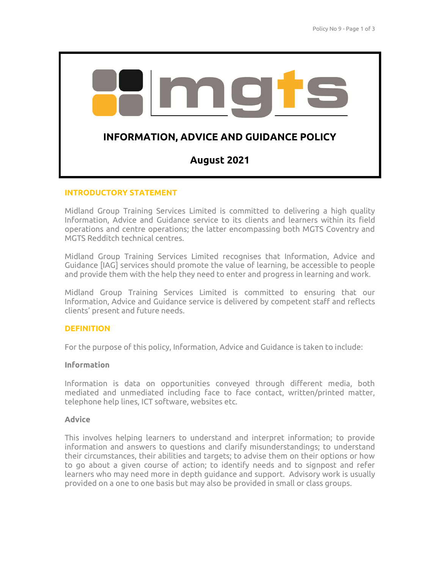

# **INTRODUCTORY STATEMENT**

Midland Group Training Services Limited is committed to delivering a high quality Information, Advice and Guidance service to its clients and learners within its field operations and centre operations; the latter encompassing both MGTS Coventry and MGTS Redditch technical centres.

Midland Group Training Services Limited recognises that Information, Advice and Guidance [IAG] services should promote the value of learning, be accessible to people and provide them with the help they need to enter and progress in learning and work.

Midland Group Training Services Limited is committed to ensuring that our Information, Advice and Guidance service is delivered by competent staff and reflects clients' present and future needs.

# **DEFINITION**

For the purpose of this policy, Information, Advice and Guidance is taken to include:

# **Information**

Information is data on opportunities conveyed through different media, both mediated and unmediated including face to face contact, written/printed matter, telephone help lines, ICT software, websites etc.

# **Advice**

This involves helping learners to understand and interpret information; to provide information and answers to questions and clarify misunderstandings; to understand their circumstances, their abilities and targets; to advise them on their options or how to go about a given course of action; to identify needs and to signpost and refer learners who may need more in depth guidance and support. Advisory work is usually provided on a one to one basis but may also be provided in small or class groups.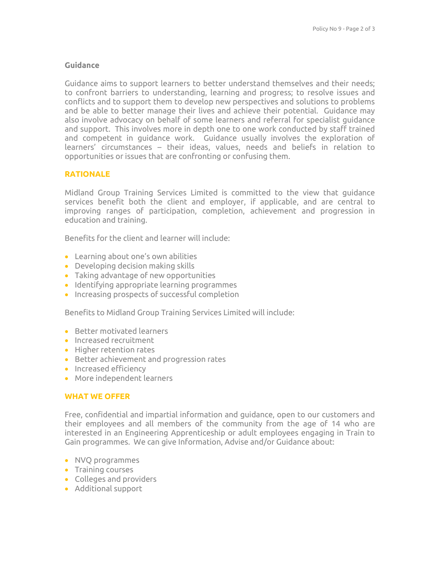# **Guidance**

Guidance aims to support learners to better understand themselves and their needs; to confront barriers to understanding, learning and progress; to resolve issues and conflicts and to support them to develop new perspectives and solutions to problems and be able to better manage their lives and achieve their potential. Guidance may also involve advocacy on behalf of some learners and referral for specialist guidance and support. This involves more in depth one to one work conducted by staff trained and competent in guidance work. Guidance usually involves the exploration of learners' circumstances – their ideas, values, needs and beliefs in relation to opportunities or issues that are confronting or confusing them.

# **RATIONALE**

Midland Group Training Services Limited is committed to the view that guidance services benefit both the client and employer, if applicable, and are central to improving ranges of participation, completion, achievement and progression in education and training.

Benefits for the client and learner will include:

- Learning about one's own abilities
- Developing decision making skills
- Taking advantage of new opportunities
- Identifying appropriate learning programmes
- Increasing prospects of successful completion

Benefits to Midland Group Training Services Limited will include:

- **Better motivated learners**
- Increased recruitment
- Higher retention rates
- Better achievement and progression rates
- **•** Increased efficiency
- More independent learners

# **WHAT WE OFFER**

Free, confidential and impartial information and guidance, open to our customers and their employees and all members of the community from the age of 14 who are interested in an Engineering Apprenticeship or adult employees engaging in Train to Gain programmes. We can give Information, Advise and/or Guidance about:

- NVQ programmes
- Training courses
- Colleges and providers
- Additional support